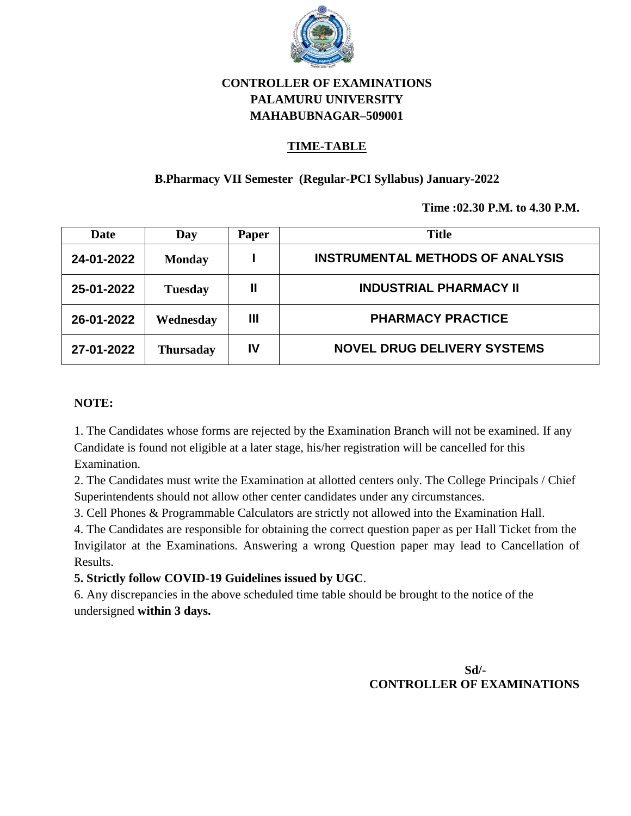

# **CONTROLLER OF EXAMINATIONS PALAMURU UNIVERSITY MAHABUBNAGAR–509001**

## **TIME-TABLE**

## **B.Pharmacy VII Semester (Regular-PCI Syllabus) January-2022**

**Time :02.30 P.M. to 4.30 P.M.**

| Date       | Day              | Paper       | <b>Title</b>                            |
|------------|------------------|-------------|-----------------------------------------|
| 24-01-2022 | <b>Monday</b>    |             | <b>INSTRUMENTAL METHODS OF ANALYSIS</b> |
| 25-01-2022 | <b>Tuesday</b>   | $\mathbf l$ | <b>INDUSTRIAL PHARMACY II</b>           |
| 26-01-2022 | Wednesday        | Ш           | <b>PHARMACY PRACTICE</b>                |
| 27-01-2022 | <b>Thursaday</b> | IV          | <b>NOVEL DRUG DELIVERY SYSTEMS</b>      |

#### **NOTE:**

1. The Candidates whose forms are rejected by the Examination Branch will not be examined. If any Candidate is found not eligible at a later stage, his/her registration will be cancelled for this Examination.

2. The Candidates must write the Examination at allotted centers only. The College Principals / Chief Superintendents should not allow other center candidates under any circumstances.

3. Cell Phones & Programmable Calculators are strictly not allowed into the Examination Hall.

4. The Candidates are responsible for obtaining the correct question paper as per Hall Ticket from the Invigilator at the Examinations. Answering a wrong Question paper may lead to Cancellation of Results.

#### **5. Strictly follow COVID-19 Guidelines issued by UGC**.

6. Any discrepancies in the above scheduled time table should be brought to the notice of the undersigned **within 3 days.**

> **Sd/- CONTROLLER OF EXAMINATIONS**